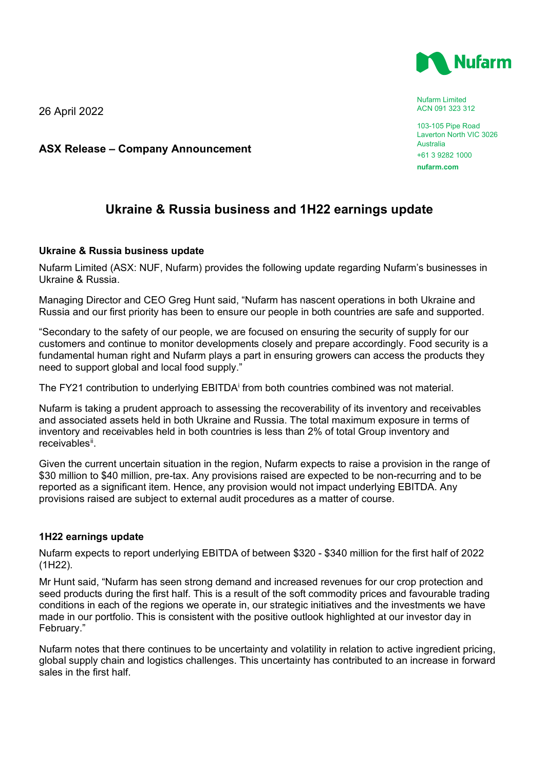

Nufarm Limited ACN 091 323 312

103-105 Pipe Road Laverton North VIC 3026 Australia

+61 3 9282 1000

**nufarm.com**

## **Ukraine & Russia business and 1H22 earnings update**

## **Ukraine & Russia business update**

26 April 2022

Nufarm Limited (ASX: NUF, Nufarm) provides the following update regarding Nufarm's businesses in Ukraine & Russia.

Managing Director and CEO Greg Hunt said, "Nufarm has nascent operations in both Ukraine and Russia and our first priority has been to ensure our people in both countries are safe and supported.

"Secondary to the safety of our people, we are focused on ensuring the security of supply for our customers and continue to monitor developments closely and prepare accordingly. Food security is a fundamental human right and Nufarm plays a part in ensuring growers can access the products they need to support global and local food supply."

The FY21 contr[i](#page-1-0)bution to underlying EBITDA<sup>i</sup> from both countries combined was not material.

Nufarm is taking a prudent approach to assessing the recoverability of its inventory and receivables and associated assets held in both Ukraine and Russia. The total maximum exposure in terms of inventory and receivables held in both countries is less than 2% of total Group inventory and receivables<sup>[ii](#page-1-1)</sup>.

Given the current uncertain situation in the region, Nufarm expects to raise a provision in the range of \$30 million to \$40 million, pre-tax. Any provisions raised are expected to be non-recurring and to be reported as a significant item. Hence, any provision would not impact underlying EBITDA. Any provisions raised are subject to external audit procedures as a matter of course.

## **1H22 earnings update**

Nufarm expects to report underlying EBITDA of between \$320 - \$340 million for the first half of 2022 (1H22).

Mr Hunt said, "Nufarm has seen strong demand and increased revenues for our crop protection and seed products during the first half. This is a result of the soft commodity prices and favourable trading conditions in each of the regions we operate in, our strategic initiatives and the investments we have made in our portfolio. This is consistent with the positive outlook highlighted at our investor day in February."

Nufarm notes that there continues to be uncertainty and volatility in relation to active ingredient pricing, global supply chain and logistics challenges. This uncertainty has contributed to an increase in forward sales in the first half.

## **ASX Release – Company Announcement**